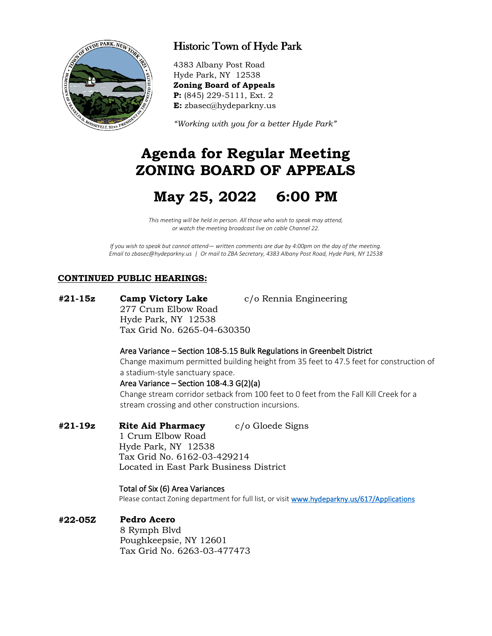

## Historic Town of Hyde Park

4383 Albany Post Road Hyde Park, NY 12538 **Zoning Board of Appeals P:** (845) 229-5111, Ext. 2 **E:** zbasec@hydeparkny.us

*"Working with you for a better Hyde Park"* 

# **Agenda for Regular Meeting ZONING BOARD OF APPEALS**

# **May 25, 2022 6:00 PM**

*This meeting will be held in person. All those who wish to speak may attend, or watch the meeting broadcast live on cable Channel 22.*

*If you wish to speak but cannot attend— written comments are due by 4:00pm on the day of the meeting. Email to zbasec@hydeparkny.us | Or mail to ZBA Secretary, 4383 Albany Post Road, Hyde Park, NY 12538*

## **CONTINUED PUBLIC HEARINGS:**

**#21-15z Camp Victory Lake** c/o Rennia Engineering 277 Crum Elbow Road Hyde Park, NY 12538 Tax Grid No. 6265-04-630350

#### Area Variance – Section 108-5.15 Bulk Regulations in Greenbelt District

Change maximum permitted building height from 35 feet to 47.5 feet for construction of a stadium-style sanctuary space.

#### Area Variance – Section 108-4.3 G(2)(a)

Change stream corridor setback from 100 feet to 0 feet from the Fall Kill Creek for a stream crossing and other construction incursions.

## **#21-19z Rite Aid Pharmacy** c/o Gloede Signs

1 Crum Elbow Road Hyde Park, NY 12538 Tax Grid No. 6162-03-429214 Located in East Park Business District

#### Total of Six (6) Area Variances

Please contact Zoning department for full list, or visi[t www.hydeparkny.us/617/Applications](http://www.hydeparkny.us/617/Applications)

## **#22-05Z Pedro Acero**

8 Rymph Blvd Poughkeepsie, NY 12601 Tax Grid No. 6263-03-477473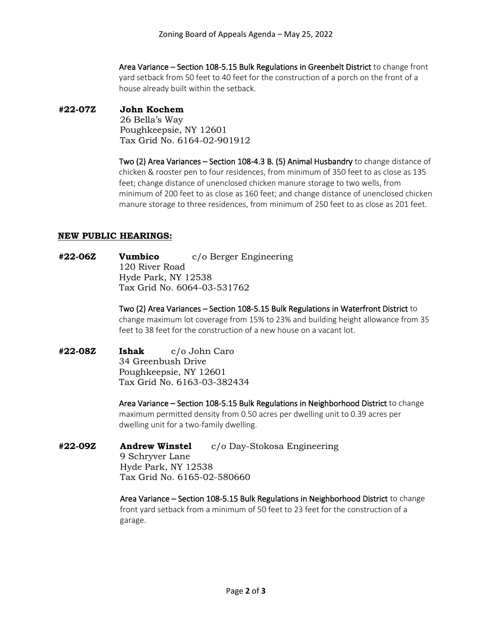Area Variance – Section 108-5.15 Bulk Regulations in Greenbelt District to change front yard setback from 50 feet to 40 feet for the construction of a porch on the front of a house already built within the setback.

## **#22-07Z John Kochem**

26 Bella's Way Poughkeepsie, NY 12601 Tax Grid No. 6164-02-901912

Two (2) Area Variances – Section 108-4.3 B. (5) Animal Husbandry to change distance of chicken & rooster pen to four residences, from minimum of 350 feet to as close as 135 feet; change distance of unenclosed chicken manure storage to two wells, from minimum of 200 feet to as close as 160 feet; and change distance of unenclosed chicken manure storage to three residences, from minimum of 250 feet to as close as 201 feet.

## **NEW PUBLIC HEARINGS:**

**#22-06Z Vumbico** c/o Berger Engineering 120 River Road Hyde Park, NY 12538 Tax Grid No. 6064-03-531762

> Two (2) Area Variances – Section 108-5.15 Bulk Regulations in Waterfront District to change maximum lot coverage from 15% to 23% and building height allowance from 35 feet to 38 feet for the construction of a new house on a vacant lot.

**#22-08Z Ishak** c/o John Caro 34 Greenbush Drive Poughkeepsie, NY 12601 Tax Grid No. 6163-03-382434

> Area Variance – Section 108-5.15 Bulk Regulations in Neighborhood District to change maximum permitted density from 0.50 acres per dwelling unit to 0.39 acres per dwelling unit for a two-family dwelling.

**#22-09Z Andrew Winstel** c/o Day-Stokosa Engineering 9 Schryver Lane Hyde Park, NY 12538 Tax Grid No. 6165-02-580660

> Area Variance – Section 108-5.15 Bulk Regulations in Neighborhood District to change front yard setback from a minimum of 50 feet to 23 feet for the construction of a garage.